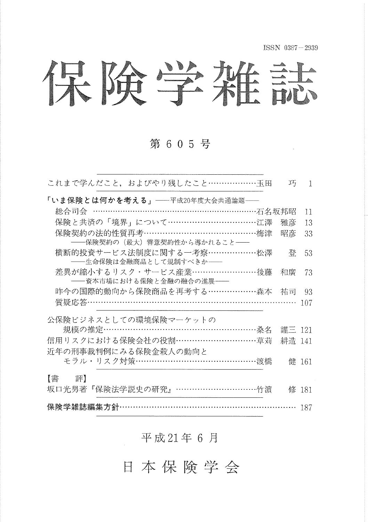ISSN 0387-2939

 $\sim 10$ 

保険学雑誌

### 第 6 0 5 号

| これまで学んだこと,およびやり残したこと………………玉田                               | 巧      | $\mathbf{1}$ |
|------------------------------------------------------------|--------|--------------|
| 「いま保険とは何かを考える」——平成20年度大会共通論題——                             |        |              |
| 総合司会 ………………………………………………………… 石名坂邦昭                          |        | 11           |
| 保険と共済の「境界」について……………………………江澤                                | 雅彦     | 13           |
| 保険契約の法的性質再考………………………………………梅津<br>――保険契約の(最大)善意契約性から導かれること―― | 昭彦     | 33           |
| 横断的投資サービス法制度に関する一考察………………松澤<br>――生命保険は金融商品として規制すべきか――      | 登      | 53           |
| 差異が縮小するリスク・サービス産業……………………後藤<br>――資本市場における保険と金融の融合の進展――     | 和廣     | 73           |
| 昨今の国際的動向から保険商品を再考する………………森本 祐司                             |        | 93           |
| 質疑応答……………………………………………………………………                             |        | 107          |
| 公保険ビジネスとしての環境保険マーケットの                                      |        |              |
| 規模の推定…………………………………………………桑名                                 | 謹三 121 |              |
| 信用リスクにおける保険会社の役割…………………………草苅                               | 耕造 141 |              |
| 近年の刑事裁判例にみる保険金殺人の動向と                                       |        |              |
| モラル・リスク対策……………………………………………渡橋                               |        | 健 161        |
| 【書 評】                                                      |        |              |
| 坂口光男著『保険法学説史の研究』……………………………竹濵                              |        | 修 181        |
| 保険学雑誌編集方針……………………………………………………… 187                         |        |              |

#### 平成21年6月

日本保険学会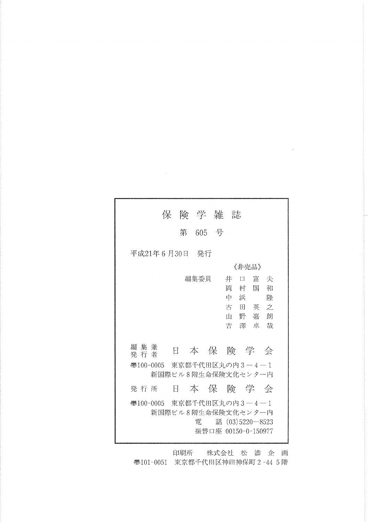|                                 | 保険学雑誌              |         |                   |                         |                                                      |
|---------------------------------|--------------------|---------|-------------------|-------------------------|------------------------------------------------------|
|                                 |                    | 第 605 号 |                   |                         |                                                      |
| 平成21年 6 月30日 - 発行               |                    |         |                   |                         |                                                      |
|                                 |                    |         |                   | 《非壳品》                   |                                                      |
| 編集兼<br>発行者                      | H                  | 編集委員    | 井<br>孟<br>中一<br>Ш | $\Box$<br>村<br>浜<br>吉澤卓 | 富<br>夫<br>和<br>国<br>隆<br>古田英之<br>野 嘉 朗<br>哉<br>本保険学会 |
| 画100-0005 東京都千代田区丸の内3−4−1       | 新国際ビル8階生命保険文化センター内 |         |                   |                         |                                                      |
| 発 行 所                           | Ħ                  |         |                   |                         | 本保険学会                                                |
| ● 100-0005 東京都千代田区丸の内 3 − 4 − 1 | 新国際ビル8階生命保険文化センター内 | 雷       |                   |                         | 話 (03)5220-8523<br>振替口座 00150-0-150977               |

 $\sim 10^{11}$  m  $^{-1}$ 

印刷所 株式会社 松 濤 企 画 **亚**101-0051 東京都千代田区神田神保町 2-44 5階